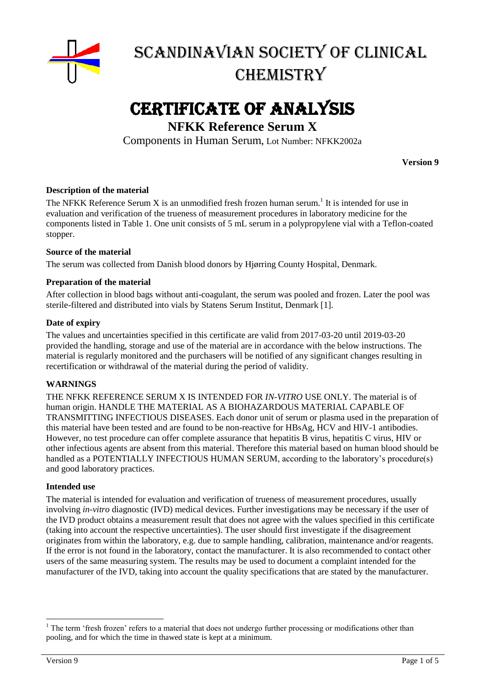

# Certificate of Analysis

## **NFKK Reference Serum X**

Components in Human Serum, Lot Number: NFKK2002a

**Version 9**

#### **Description of the material**

The NFKK Reference Serum X is an unmodified fresh frozen human serum.<sup>1</sup> It is intended for use in evaluation and verification of the trueness of measurement procedures in laboratory medicine for the components listed in Table 1. One unit consists of 5 mL serum in a polypropylene vial with a Teflon-coated stopper.

#### **Source of the material**

The serum was collected from Danish blood donors by Hjørring County Hospital, Denmark.

#### **Preparation of the material**

After collection in blood bags without anti-coagulant, the serum was pooled and frozen. Later the pool was sterile-filtered and distributed into vials by Statens Serum Institut, Denmark [1].

#### **Date of expiry**

The values and uncertainties specified in this certificate are valid from 2017-03-20 until 2019-03-20 provided the handling, storage and use of the material are in accordance with the below instructions. The material is regularly monitored and the purchasers will be notified of any significant changes resulting in recertification or withdrawal of the material during the period of validity.

#### **WARNINGS**

THE NFKK REFERENCE SERUM X IS INTENDED FOR *IN-VITRO* USE ONLY. The material is of human origin. HANDLE THE MATERIAL AS A BIOHAZARDOUS MATERIAL CAPABLE OF TRANSMITTING INFECTIOUS DISEASES. Each donor unit of serum or plasma used in the preparation of this material have been tested and are found to be non-reactive for HBsAg, HCV and HIV-1 antibodies. However, no test procedure can offer complete assurance that hepatitis B virus, hepatitis C virus, HIV or other infectious agents are absent from this material. Therefore this material based on human blood should be handled as a POTENTIALLY INFECTIOUS HUMAN SERUM, according to the laboratory's procedure(s) and good laboratory practices.

#### **Intended use**

The material is intended for evaluation and verification of trueness of measurement procedures, usually involving *in-vitro* diagnostic (IVD) medical devices. Further investigations may be necessary if the user of the IVD product obtains a measurement result that does not agree with the values specified in this certificate (taking into account the respective uncertainties). The user should first investigate if the disagreement originates from within the laboratory, e.g. due to sample handling, calibration, maintenance and/or reagents. If the error is not found in the laboratory, contact the manufacturer. It is also recommended to contact other users of the same measuring system. The results may be used to document a complaint intended for the manufacturer of the IVD, taking into account the quality specifications that are stated by the manufacturer.

1

<sup>&</sup>lt;sup>1</sup> The term 'fresh frozen' refers to a material that does not undergo further processing or modifications other than pooling, and for which the time in thawed state is kept at a minimum.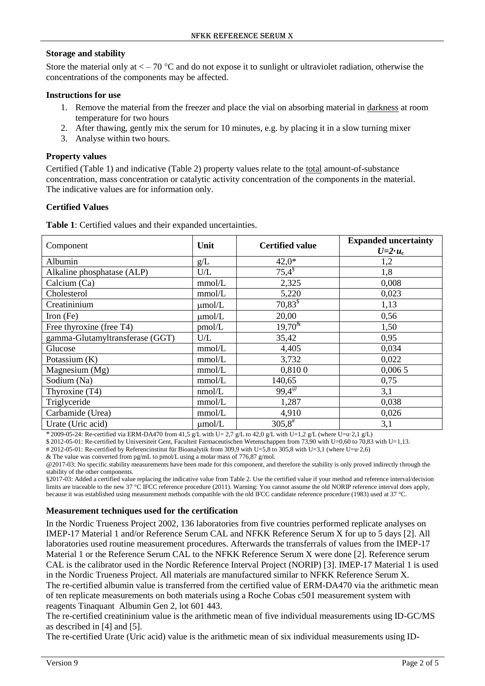#### **Storage and stability**

Store the material only at  $\lt -70$  °C and do not expose it to sunlight or ultraviolet radiation, otherwise the concentrations of the components may be affected.

#### **Instructions for use**

- 1. Remove the material from the freezer and place the vial on absorbing material in darkness at room temperature for two hours
- 2. After thawing, gently mix the serum for 10 minutes, e.g. by placing it in a slow turning mixer
- 3. Analyse within two hours.

### **Property values**

Certified (Table 1) and indicative (Table 2) property values relate to the total amount-of-substance concentration, mass concentration or catalytic activity concentration of the components in the material. The indicative values are for information only.

#### **Certified Values**

**Table 1**: Certified values and their expanded uncertainties.

| Component                       | Unit        | <b>Certified value</b> | <b>Expanded uncertainty</b><br>$U=2\cdot u_c$ |
|---------------------------------|-------------|------------------------|-----------------------------------------------|
| Albumin                         | g/L         | $42,0*$                | 1,2                                           |
| Alkaline phosphatase (ALP)      | U/L         | $75,4^{\$}$            | 1,8                                           |
| Calcium (Ca)                    | mmol/L      | 2,325                  | 0,008                                         |
| Cholesterol                     | mmol/L      | 5,220                  | 0,023                                         |
| Creatininium                    | $\mu$ mol/L | $70,83^{\$}$           | 1,13                                          |
| Iron $(Fe)$                     | $\mu$ mol/L | 20,00                  | 0,56                                          |
| Free thyroxine (free T4)        | pmol/L      | $19,70^{\text{&}}$     | 1,50                                          |
| gamma-Glutamyltransferase (GGT) | U/L         | 35,42                  | 0,95                                          |
| Glucose                         | mmol/L      | 4,405                  | 0,034                                         |
| Potassium $(K)$                 | mmol/L      | 3,732                  | 0,022                                         |
| Magnesium $(Mg)$                | mmol/L      | 0,8100                 | 0,0065                                        |
| Sodium (Na)                     | mmol/L      | 140,65                 | 0,75                                          |
| Thyroxine (T4)                  | nmol/L      | $99,4^{\circ}$         | 3,1                                           |
| Triglyceride                    | mmol/L      | 1,287                  | 0,038                                         |
| Carbamide (Urea)                | mmol/L      | 4,910                  | 0,026                                         |
| Urate (Uric acid)               | $\mu$ mol/L | $305,8^{\#}$           | 3,1                                           |

 $*$  2009-05-24: Re-certified via ERM-DA470 from 41,5 g/L with U= 2,7 g/L to 42,0 g/L with U=1,2 g/L (where U=u·2,1 g/L)

\$ 2012-05-01: Re-certified by Universiteit Gent, Faculteit Farmaceutischen Wetenschappen from 73,90 with U=0,60 to 70,83 with U=1,13.

# 2012-05-01: Re-certified by Referencinstitut für Bioanalytik from 309,9 with U=5,8 to 305,8 with U=3,1 (where U=u·2,6)

& The value was converted from pg/mL to pmol/L using a molar mass of 776,87 g/mol.

@2017-03: No specific stability measurements have been made for this component, and therefore the stability is only proved indirectly through the stability of the other components.

§2017-03: Added a certified value replacing the indicative value from Table 2. Use the certified value if your method and reference interval/decision limits are traceable to the new 37 °C IFCC reference procedure (2011). Warning: You cannot assume the old NORIP reference interval does apply, because it was established using measurement methods compatible with the old IFCC candidate reference procedure (1983) used at 37 °C.

#### **Measurement techniques used for the certification**

<span id="page-1-3"></span><span id="page-1-0"></span>In the Nordic Trueness Project 2002, 136 laboratories from five countries performed replicate analyses on IMEP-17 Material 1 and/or Reference Serum CAL and NFKK Reference Serum X for up to 5 days [2]. All laboratories used routine measurement procedures. Afterwards the transferrals of values from the IMEP-17 Material 1 or the Reference Serum CAL to the NFKK Reference Serum X were done [\[2\]](#page-1-0). Reference serum CAL is the calibrator used in the Nordic Reference Interval Project (NORIP) [3]. IMEP-17 Material 1 is used in the Nordic Trueness Project. All materials are manufactured similar to NFKK Reference Serum X. The re-certified albumin value is transferred from the certified value of ERM-DA470 via the arithmetic mean of ten replicate measurements on both materials using a Roche Cobas c501 measurement system with reagents Tinaquant Albumin Gen 2, lot 601 443.

<span id="page-1-2"></span><span id="page-1-1"></span>The re-certified creatininium value is the arithmetic mean of five individual measurements using ID-GC/MS as described in [4] and [5].

The re-certified Urate (Uric acid) value is the arithmetic mean of six individual measurements using ID-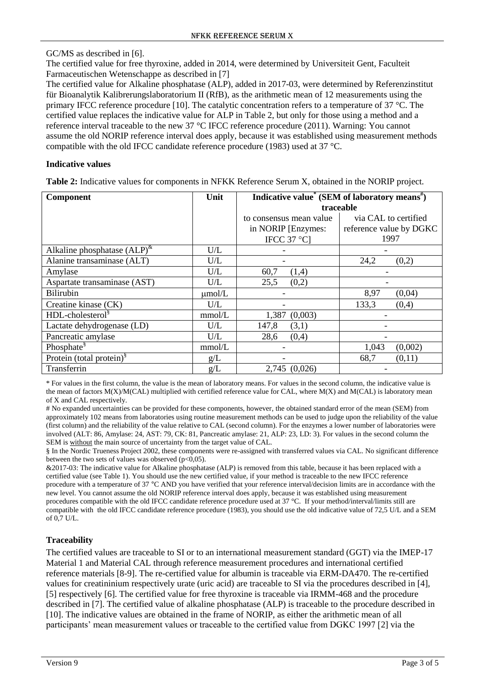<span id="page-2-0"></span>GC/MS as described in [6].

The certified value for free thyroxine, added in 2014, were determined by Universiteit Gent, Faculteit Farmaceutischen Wetenschappe as described in [7]

The certified value for Alkaline phosphatase (ALP), added in 2017-03, were determined by Referenzinstitut für Bioanalytik Kalibrerungslaboratorium II (RfB), as the arithmetic mean of 12 measurements using the primary IFCC reference procedure [10]. The catalytic concentration refers to a temperature of 37 °C. The certified value replaces the indicative value for ALP in Table 2, but only for those using a method and a reference interval traceable to the new 37 °C IFCC reference procedure (2011). Warning: You cannot assume the old NORIP reference interval does apply, because it was established using measurement methods compatible with the old IFCC candidate reference procedure (1983) used at 37 °C.

#### **Indicative values**

**Table 2:** Indicative values for components in NFKK Reference Serum X, obtained in the NORIP project.

| Component                            | Unit        | Indicative value <sup>*</sup> (SEM of laboratory means <sup>*</sup> ) |                         |
|--------------------------------------|-------------|-----------------------------------------------------------------------|-------------------------|
|                                      |             | traceable                                                             |                         |
|                                      |             | to consensus mean value                                               | via CAL to certified    |
|                                      |             | in NORIP [Enzymes:                                                    | reference value by DGKC |
|                                      |             | IFCC 37 $^{\circ}$ C]                                                 | 1997                    |
| Alkaline phosphatase $(ALP)^{k}$     | U/L         |                                                                       |                         |
| Alanine transaminase (ALT)           | U/L         |                                                                       | 24,2<br>(0,2)           |
| Amylase                              | U/L         | 60,7<br>(1,4)                                                         |                         |
| Aspartate transaminase (AST)         | U/L         | 25,5<br>(0,2)                                                         |                         |
| <b>Bilirubin</b>                     | $\mu$ mol/L |                                                                       | 8,97<br>(0,04)          |
| Creatine kinase (CK)                 | U/L         |                                                                       | 133,3<br>(0,4)          |
| HDL-cholesterol <sup>§</sup>         | mmol/L      | 1,387<br>(0,003)                                                      |                         |
| Lactate dehydrogenase (LD)           | U/L         | 147,8<br>(3,1)                                                        |                         |
| Pancreatic amylase                   | U/L         | 28,6<br>(0,4)                                                         |                         |
| Phosphate <sup>§</sup>               | mmol/L      |                                                                       | (0,002)<br>1,043        |
| Protein (total protein) <sup>§</sup> | g/L         |                                                                       | 68,7<br>(0,11)          |
| Transferrin                          | g/L         | 2,745 (0,026)                                                         |                         |

\* For values in the first column, the value is the mean of laboratory means. For values in the second column, the indicative value is the mean of factors  $M(X)/M(CAL)$  multiplied with certified reference value for CAL, where  $M(X)$  and  $M(CAL)$  is laboratory mean of X and CAL respectively.

# No expanded uncertainties can be provided for these components, however, the obtained standard error of the mean (SEM) from approximately 102 means from laboratories using routine measurement methods can be used to judge upon the reliability of the value (first column) and the reliability of the value relative to CAL (second column). For the enzymes a lower number of laboratories were involved (ALT: 86, Amylase: 24, AST: 79, CK: 81, Pancreatic amylase: 21, ALP: 23, LD: 3). For values in the second column the SEM is without the main source of uncertainty from the target value of CAL.

§ In the Nordic Trueness Project 2002, these components were re-assigned with transferred values via CAL. No significant difference between the two sets of values was observed ( $p<0,05$ ).

&2017-03: The indicative value for Alkaline phosphatase (ALP) is removed from this table, because it has been replaced with a certified value (see Table 1). You should use the new certified value, if your method is traceable to the new IFCC reference procedure with a temperature of 37 °C AND you have verified that your reference interval/decision limits are in accordance with the new level. You cannot assume the old NORIP reference interval does apply, because it was established using measurement procedures compatible with the old IFCC candidate reference procedure used at 37 °C. If your method/interval/limits still are compatible with the old IFCC candidate reference procedure (1983), you should use the old indicative value of 72,5 U/L and a SEM of 0,7 U/L.

## **Traceability**

The certified values are traceable to SI or to an international measurement standard (GGT) via the IMEP-17 Material 1 and Material CAL through reference measurement procedures and international certified reference materials [8-9]. The re-certified value for albumin is traceable via ERM-DA470. The re-certified values for creatininium respectively urate (uric acid) are traceable to SI via the procedures described in [\[4\]](#page-1-1), [\[5\]](#page-1-2) respectively [\[6\]](#page-2-0). The certified value for free thyroxine is traceable via IRMM-468 and the procedure described in [7]. The certified value of alkaline phosphatase (ALP) is traceable to the procedure described in [10]. The indicative values are obtained in the frame of NORIP, as either the arithmetic mean of all participants' mean measurement values or traceable to the certified value from DGKC 1997 [\[2\]](#page-1-0) via the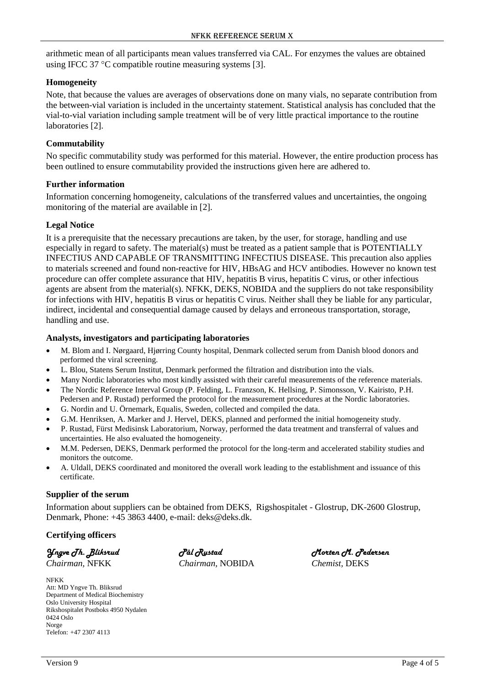arithmetic mean of all participants mean values transferred via CAL. For enzymes the values are obtained using IFCC 37  $\degree$ C compatible routine measuring systems [\[3\]](#page-1-3).

#### **Homogeneity**

Note, that because the values are averages of observations done on many vials, no separate contribution from the between-vial variation is included in the uncertainty statement. Statistical analysis has concluded that the vial-to-vial variation including sample treatment will be of very little practical importance to the routine laboratories [\[2\]](#page-1-0).

#### **Commutability**

No specific commutability study was performed for this material. However, the entire production process has been outlined to ensure commutability provided the instructions given here are adhered to.

#### **Further information**

Information concerning homogeneity, calculations of the transferred values and uncertainties, the ongoing monitoring of the material are available in [\[2\]](#page-1-0).

#### **Legal Notice**

It is a prerequisite that the necessary precautions are taken, by the user, for storage, handling and use especially in regard to safety. The material(s) must be treated as a patient sample that is POTENTIALLY INFECTIUS AND CAPABLE OF TRANSMITTING INFECTIUS DISEASE. This precaution also applies to materials screened and found non-reactive for HIV, HBsAG and HCV antibodies. However no known test procedure can offer complete assurance that HIV, hepatitis B virus, hepatitis C virus, or other infectious agents are absent from the material(s). NFKK, DEKS, NOBIDA and the suppliers do not take responsibility for infections with HIV, hepatitis B virus or hepatitis C virus. Neither shall they be liable for any particular, indirect, incidental and consequential damage caused by delays and erroneous transportation, storage, handling and use.

#### **Analysts, investigators and participating laboratories**

- M. Blom and I. Nørgaard, Hjørring County hospital, Denmark collected serum from Danish blood donors and performed the viral screening.
- L. Blou, Statens Serum Institut, Denmark performed the filtration and distribution into the vials.
- Many Nordic laboratories who most kindly assisted with their careful measurements of the reference materials.
- The Nordic Reference Interval Group (P. Felding, L. Franzson, K. Hellsing, P. Simonsson, V. Kairisto, P.H. Pedersen and P. Rustad) performed the protocol for the measurement procedures at the Nordic laboratories.
- G. Nordin and U. Örnemark, Equalis, Sweden, collected and compiled the data.
- G.M. Henriksen, A. Marker and J. Hervel, DEKS, planned and performed the initial homogeneity study.
- P. Rustad, Fürst Medisinsk Laboratorium, Norway, performed the data treatment and transferral of values and uncertainties. He also evaluated the homogeneity.
- M.M. Pedersen, DEKS, Denmark performed the protocol for the long-term and accelerated stability studies and monitors the outcome.
- A. Uldall, DEKS coordinated and monitored the overall work leading to the establishment and issuance of this certificate.

#### **Supplier of the serum**

Information about suppliers can be obtained from DEKS, Rigshospitalet - Glostrup, DK-2600 Glostrup, Denmark, Phone: +45 3863 4400, e-mail: deks@deks.dk.

**Certifying officers**

*Yngve Th. Bliksrud*

*Chairman,* NFKK

NFKK Att: MD Yngve Th. Bliksrud Department of Medical Biochemistry Oslo University Hospital Rikshospitalet Postboks 4950 Nydalen 0424 Oslo Norge Telefon: +47 2307 4113

*Pål Rustad Chairman,* NOBIDA *Morten M. Pedersen Chemist,* DEKS